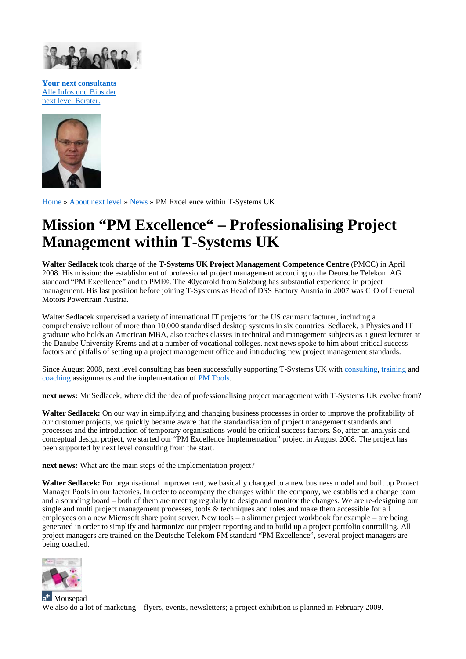

**Your next consultants** Alle Infos und Bios der next level Berater.



Home » About next level » News » PM Excellence within T-Systems UK

## **Mission "PM Excellence" – Professionalising Project Management within T-Systems UK**

**Walter Sedlacek** took charge of the **T-Systems UK Project Management Competence Centre** (PMCC) in April 2008. His mission: the establishment of professional project management according to the Deutsche Telekom AG standard "PM Excellence" and to PMI®. The 40yearold from Salzburg has substantial experience in project management. His last position before joining T-Systems as Head of DSS Factory Austria in 2007 was CIO of General Motors Powertrain Austria.

Walter Sedlacek supervised a variety of international IT projects for the US car manufacturer, including a comprehensive rollout of more than 10,000 standardised desktop systems in six countries. Sedlacek, a Physics and IT graduate who holds an American MBA, also teaches classes in technical and management subjects as a guest lecturer at the Danube University Krems and at a number of vocational colleges. next news spoke to him about critical success factors and pitfalls of setting up a project management office and introducing new project management standards.

Since August 2008, next level consulting has been successfully supporting T-Systems UK with consulting, training and coaching assignments and the implementation of PM Tools.

**next news:** Mr Sedlacek, where did the idea of professionalising project management with T-Systems UK evolve from?

**Walter Sedlacek:** On our way in simplifying and changing business processes in order to improve the profitability of our customer projects, we quickly became aware that the standardisation of project management standards and processes and the introduction of temporary organisations would be critical success factors. So, after an analysis and conceptual design project, we started our "PM Excellence Implementation" project in August 2008. The project has been supported by next level consulting from the start.

**next news:** What are the main steps of the implementation project?

**Walter Sedlacek:** For organisational improvement, we basically changed to a new business model and built up Project Manager Pools in our factories. In order to accompany the changes within the company, we established a change team and a sounding board – both of them are meeting regularly to design and monitor the changes. We are re-designing our single and multi project management processes, tools & techniques and roles and make them accessible for all employees on a new Microsoft share point server. New tools – a slimmer project workbook for example – are being generated in order to simplify and harmonize our project reporting and to build up a project portfolio controlling. All project managers are trained on the Deutsche Telekom PM standard "PM Excellence", several project managers are being coached.



**H**Mousepad We also do a lot of marketing – flyers, events, newsletters; a project exhibition is planned in February 2009.